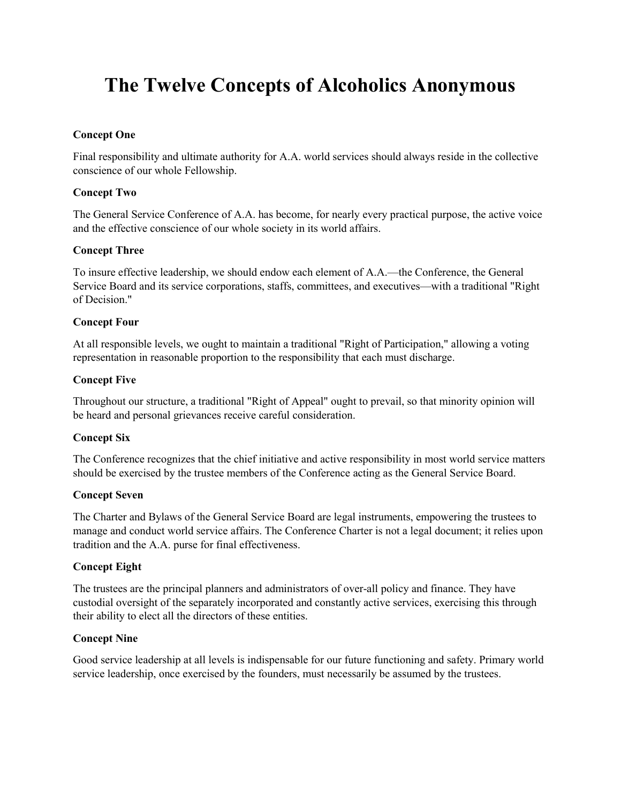# **The Twelve Concepts of Alcoholics Anonymous**

# **Concept One**

Final responsibility and ultimate authority for A.A. world services should always reside in the collective conscience of our whole Fellowship.

# **Concept Two**

The General Service Conference of A.A. has become, for nearly every practical purpose, the active voice and the effective conscience of our whole society in its world affairs.

#### **Concept Three**

To insure effective leadership, we should endow each element of A.A.—the Conference, the General Service Board and its service corporations, staffs, committees, and executives—with a traditional "Right of Decision."

#### **Concept Four**

At all responsible levels, we ought to maintain a traditional "Right of Participation," allowing a voting representation in reasonable proportion to the responsibility that each must discharge.

# **Concept Five**

Throughout our structure, a traditional "Right of Appeal" ought to prevail, so that minority opinion will be heard and personal grievances receive careful consideration.

#### **Concept Six**

The Conference recognizes that the chief initiative and active responsibility in most world service matters should be exercised by the trustee members of the Conference acting as the General Service Board.

#### **Concept Seven**

The Charter and Bylaws of the General Service Board are legal instruments, empowering the trustees to manage and conduct world service affairs. The Conference Charter is not a legal document; it relies upon tradition and the A.A. purse for final effectiveness.

#### **Concept Eight**

The trustees are the principal planners and administrators of over-all policy and finance. They have custodial oversight of the separately incorporated and constantly active services, exercising this through their ability to elect all the directors of these entities.

#### **Concept Nine**

Good service leadership at all levels is indispensable for our future functioning and safety. Primary world service leadership, once exercised by the founders, must necessarily be assumed by the trustees.